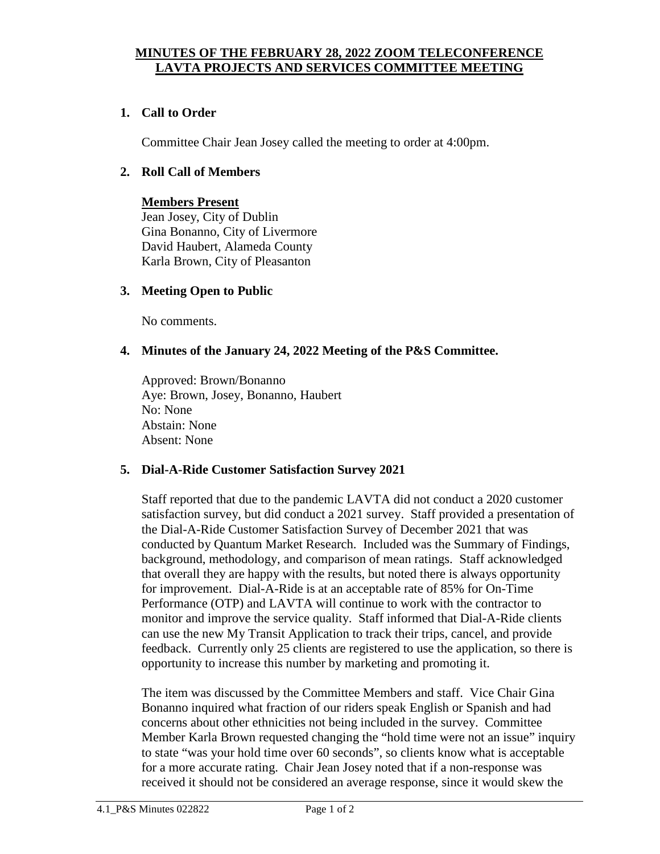### **MINUTES OF THE FEBRUARY 28, 2022 ZOOM TELECONFERENCE LAVTA PROJECTS AND SERVICES COMMITTEE MEETING**

## **1. Call to Order**

Committee Chair Jean Josey called the meeting to order at 4:00pm.

#### **2. Roll Call of Members**

# **Members Present**

Jean Josey, City of Dublin Gina Bonanno, City of Livermore David Haubert, Alameda County Karla Brown, City of Pleasanton

#### **3. Meeting Open to Public**

No comments.

#### **4. Minutes of the January 24, 2022 Meeting of the P&S Committee.**

Approved: Brown/Bonanno Aye: Brown, Josey, Bonanno, Haubert No: None Abstain: None Absent: None

#### **5. Dial-A-Ride Customer Satisfaction Survey 2021**

Staff reported that due to the pandemic LAVTA did not conduct a 2020 customer satisfaction survey, but did conduct a 2021 survey. Staff provided a presentation of the Dial-A-Ride Customer Satisfaction Survey of December 2021 that was conducted by Quantum Market Research. Included was the Summary of Findings, background, methodology, and comparison of mean ratings. Staff acknowledged that overall they are happy with the results, but noted there is always opportunity for improvement. Dial-A-Ride is at an acceptable rate of 85% for On-Time Performance (OTP) and LAVTA will continue to work with the contractor to monitor and improve the service quality. Staff informed that Dial-A-Ride clients can use the new My Transit Application to track their trips, cancel, and provide feedback. Currently only 25 clients are registered to use the application, so there is opportunity to increase this number by marketing and promoting it.

The item was discussed by the Committee Members and staff. Vice Chair Gina Bonanno inquired what fraction of our riders speak English or Spanish and had concerns about other ethnicities not being included in the survey. Committee Member Karla Brown requested changing the "hold time were not an issue" inquiry to state "was your hold time over 60 seconds", so clients know what is acceptable for a more accurate rating. Chair Jean Josey noted that if a non-response was received it should not be considered an average response, since it would skew the